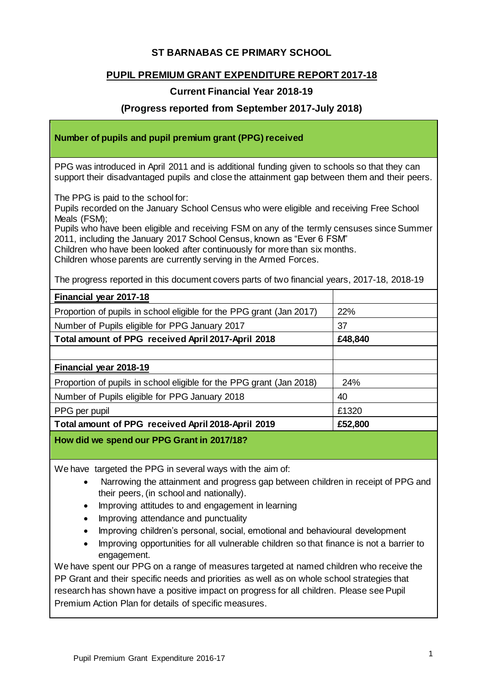# **ST BARNABAS CE PRIMARY SCHOOL**

# **PUPIL PREMIUM GRANT EXPENDITURE REPORT 2017-18**

# **Current Financial Year 2018-19**

## **(Progress reported from September 2017-July 2018)**

#### **Number of pupils and pupil premium grant (PPG) received**

PPG was introduced in April 2011 and is additional funding given to schools so that they can support their disadvantaged pupils and close the attainment gap between them and their peers.

The PPG is paid to the school for:

Pupils recorded on the January School Census who were eligible and receiving Free School Meals (FSM);

Pupils who have been eligible and receiving FSM on any of the termly censuses since Summer 2011, including the January 2017 School Census, known as "Ever 6 FSM"

Children who have been looked after continuously for more than six months.

Children whose parents are currently serving in the Armed Forces.

The progress reported in this document covers parts of two financial years, 2017-18, 2018-19

| Financial year 2017-18                                               |            |
|----------------------------------------------------------------------|------------|
| Proportion of pupils in school eligible for the PPG grant (Jan 2017) | <b>22%</b> |
| Number of Pupils eligible for PPG January 2017                       | 37         |
| Total amount of PPG received April 2017-April 2018                   | £48,840    |
|                                                                      |            |
| Financial year 2018-19                                               |            |
| Proportion of pupils in school eligible for the PPG grant (Jan 2018) | 24%        |
| Number of Pupils eligible for PPG January 2018                       | 40         |
| PPG per pupil                                                        | £1320      |
| Total amount of PPG received April 2018-April 2019                   | £52,800    |
|                                                                      |            |

**How did we spend our PPG Grant in 2017/18?**

We have targeted the PPG in several ways with the aim of:

- Narrowing the attainment and progress gap between children in receipt of PPG and their peers, (in school and nationally).
- Improving attitudes to and engagement in learning
- Improving attendance and punctuality
- Improving children's personal, social, emotional and behavioural development
- Improving opportunities for all vulnerable children so that finance is not a barrier to engagement.

We have spent our PPG on a range of measures targeted at named children who receive the PP Grant and their specific needs and priorities as well as on whole school strategies that research has shown have a positive impact on progress for all children. Please see Pupil Premium Action Plan for details of specific measures.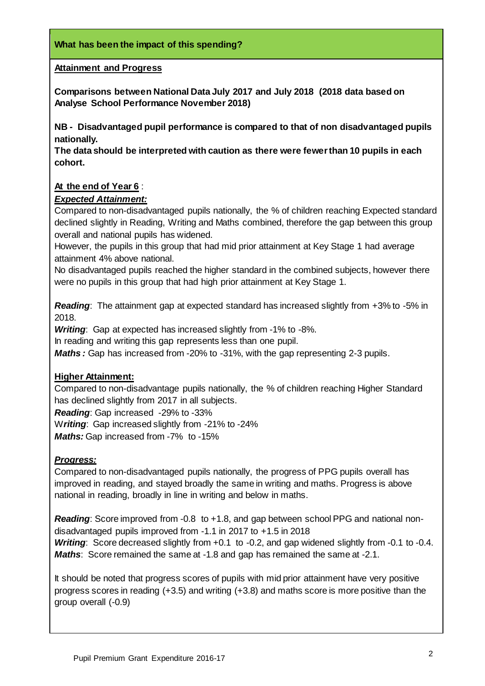#### **Attainment and Progress**

**Comparisons between National Data July 2017 and July 2018 (2018 data based on Analyse School Performance November 2018)**

**NB - Disadvantaged pupil performance is compared to that of non disadvantaged pupils nationally.** 

**The data should be interpreted with caution as there were fewer than 10 pupils in each cohort.**

#### **At the end of Year 6** :

#### *Expected Attainment:*

Compared to non-disadvantaged pupils nationally, the % of children reaching Expected standard declined slightly in Reading, Writing and Maths combined, therefore the gap between this group overall and national pupils has widened.

However, the pupils in this group that had mid prior attainment at Key Stage 1 had average attainment 4% above national.

No disadvantaged pupils reached the higher standard in the combined subjects, however there were no pupils in this group that had high prior attainment at Key Stage 1.

*Reading*: The attainment gap at expected standard has increased slightly from +3% to -5% in 2018.

*Writing*: Gap at expected has increased slightly from -1% to -8%.

In reading and writing this gap represents less than one pupil.

*Maths :* Gap has increased from -20% to -31%, with the gap representing 2-3 pupils.

#### **Higher Attainment:**

Compared to non-disadvantage pupils nationally, the % of children reaching Higher Standard has declined slightly from 2017 in all subjects.

*Reading*: Gap increased -29% to -33%

W*riting*: Gap increased slightly from -21% to -24% *Maths:* Gap increased from -7% to -15%

#### *Progress:*

Compared to non-disadvantaged pupils nationally, the progress of PPG pupils overall has improved in reading, and stayed broadly the same in writing and maths. Progress is above national in reading, broadly in line in writing and below in maths.

*Reading*: Score improved from -0.8 to +1.8, and gap between school PPG and national nondisadvantaged pupils improved from -1.1 in 2017 to +1.5 in 2018 *Writing*: Score decreased slightly from +0.1 to -0.2, and gap widened slightly from -0.1 to -0.4. *Maths*: Score remained the same at -1.8 and gap has remained the same at -2.1.

It should be noted that progress scores of pupils with mid prior attainment have very positive progress scores in reading (+3.5) and writing (+3.8) and maths score is more positive than the group overall (-0.9)